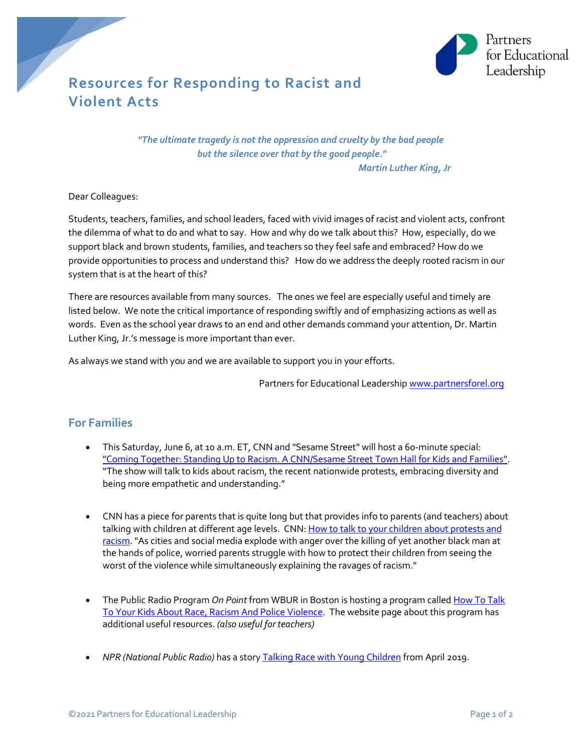

## **Resources for Responding to Racist and Violent Acts**

*"The ultimate tragedy is not the oppression and cruelty by the bad people but the silence over that by the good people." Martin Luther King, Jr*

Dear Colleagues:

Students, teachers, families, and school leaders, faced with vivid images of racist and violent acts, confront the dilemma of what to do and what to say. How and why do we talk about this? How, especially, do we support black and brown students, families, and teachers so they feel safe and embraced? How do we provide opportunities to process and understand this? How do we address the deeply rooted racism in our system that is at the heart of this?

There are resources available from many sources. The ones we feel are especially useful and timely are listed below. We note the critical importance of responding swiftly and of emphasizing actions as well as words. Even as the school year draws to an end and other demands command your attention, Dr. Martin Luther King, Jr.'s message is more important than ever.

As always we stand with you and we are available to support you in your efforts.

Partners for Educational Leader[ship www.partnersforel.org](http://www.ctschoolchange.org/)

## **For Families**

- This Saturday, June 6, at 10 a.m. ET, CNN and "Sesame Street" will host a 60-minute special: ["Coming Together: Standing Up to Racism. A CNN/Sesame Street Town Hall for Kids and Families".](https://www.cnn.com/2020/06/02/us/cnn-sesame-street-standing-up-to-racism/index.html) "The show will talk to kids about racism, the recent nationwide protests, embracing diversity and being more empathetic and understanding."
- CNN has a piece for parents that is quite long but that provides info to parents (and teachers) about talking with children at different age levels. CNN[: How to talk to your children about protests and](https://www.cnn.com/2020/06/01/health/protests-racism-talk-to-children-wellness/index.html) [racism.](https://www.cnn.com/2020/06/01/health/protests-racism-talk-to-children-wellness/index.html) "As cities and social media explode with anger over the killing of yet another black man at the hands of police, worried parents struggle with how to protect their children from seeing the worst of the violence while simultaneously explaining the ravages of racism."
- The Public Radio Program *On Point* from WBUR in Boston is hosting a program calle[d How To Talk](https://www.wbur.org/onpoint/2020/06/02/teach-talk-children-racism-violence-protests-race) [To Your Kids About Race, Racism And Police Violence](https://www.wbur.org/onpoint/2020/06/02/teach-talk-children-racism-violence-protests-race)*.* The website page about this program has additional useful resources. *(also useful for teachers)*
- *NPR (National Public Radio)* has a stor[y Talking Race with Young Children](https://www.npr.org/2019/04/24/716700866/talking-race-with-young-children) from April 2019.